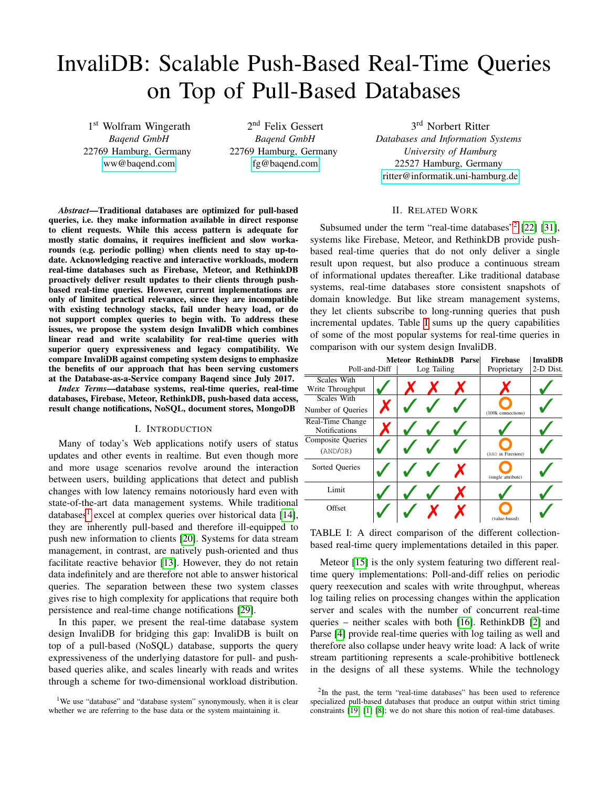# InvaliDB: Scalable Push-Based Real-Time Queries on Top of Pull-Based Databases

1<sup>st</sup> Wolfram Wingerath *Baqend GmbH* 22769 Hamburg, Germany [ww@baqend.com](mailto:ww@baqend.com)

2 nd Felix Gessert *Baqend GmbH* 22769 Hamburg, Germany [fg@baqend.com](mailto:fg@baqend.com)

3<sup>rd</sup> Norbert Ritter *Databases and Information Systems University of Hamburg* 22527 Hamburg, Germany [ritter@informatik.uni-hamburg.de](mailto:ritter@informatik.uni-hamburg.de)

#### II. RELATED WORK

*Abstract*—Traditional databases are optimized for pull-based queries, i.e. they make information available in direct response to client requests. While this access pattern is adequate for mostly static domains, it requires inefficient and slow workarounds (e.g. periodic polling) when clients need to stay up-todate. Acknowledging reactive and interactive workloads, modern real-time databases such as Firebase, Meteor, and RethinkDB proactively deliver result updates to their clients through pushbased real-time queries. However, current implementations are only of limited practical relevance, since they are incompatible with existing technology stacks, fail under heavy load, or do not support complex queries to begin with. To address these issues, we propose the system design InvaliDB which combines linear read and write scalability for real-time queries with superior query expressiveness and legacy compatibility. We compare InvaliDB against competing system designs to emphasize the benefits of our approach that has been serving customers at the Database-as-a-Service company Baqend since July 2017.

*Index Terms*—database systems, real-time queries, real-time databases, Firebase, Meteor, RethinkDB, push-based data access, result change notifications, NoSQL, document stores, MongoDB

#### I. INTRODUCTION

<span id="page-0-3"></span>Many of today's Web applications notify users of status updates and other events in realtime. But even though more and more usage scenarios revolve around the interaction between users, building applications that detect and publish changes with low latency remains notoriously hard even with state-of-the-art data management systems. While traditional databases<sup>[1](#page-0-0)</sup> excel at complex queries over historical data [\[14\]](#page-3-0), they are inherently pull-based and therefore ill-equipped to push new information to clients [\[20\]](#page-3-1). Systems for data stream management, in contrast, are natively push-oriented and thus facilitate reactive behavior [\[13\]](#page-3-2). However, they do not retain data indefinitely and are therefore not able to answer historical queries. The separation between these two system classes gives rise to high complexity for applications that require both persistence and real-time change notifications [\[29\]](#page-3-3).

In this paper, we present the real-time database system design InvaliDB for bridging this gap: InvaliDB is built on top of a pull-based (NoSQL) database, supports the query expressiveness of the underlying datastore for pull- and pushbased queries alike, and scales linearly with reads and writes through a scheme for two-dimensional workload distribution.

<span id="page-0-4"></span>Subsumed under the term "real-time databases"<sup>[2](#page-0-1)</sup> [\[22\]](#page-3-4) [\[31\]](#page-3-5), systems like Firebase, Meteor, and RethinkDB provide pushbased real-time queries that do not only deliver a single result upon request, but also produce a continuous stream of informational updates thereafter. Like traditional database systems, real-time databases store consistent snapshots of domain knowledge. But like stream management systems, they let clients subscribe to long-running queries that push incremental updates. Table [I](#page-0-2) sums up the query capabilities of some of the most popular systems for real-time queries in comparison with our system design InvaliDB.

<span id="page-0-2"></span>

|                                          |  |             |  | Meteor RethinkDB Parse | <b>Firebase</b>    | <b>InvaliDB</b> |
|------------------------------------------|--|-------------|--|------------------------|--------------------|-----------------|
| Poll-and-Diff                            |  | Log Tailing |  |                        | Proprietary        | 2-D Dist.       |
| Scales With<br>Write Throughput          |  |             |  |                        |                    |                 |
| Scales With<br>Number of Queries         |  |             |  |                        | (100k connections) |                 |
| Real-Time Change<br><b>Notifications</b> |  |             |  |                        |                    |                 |
| <b>Composite Queries</b><br>(AND/OR)     |  |             |  |                        | (AND in Firestore) |                 |
| Sorted Queries                           |  |             |  |                        | (single attribute) |                 |
| Limit                                    |  |             |  |                        |                    |                 |
| Offset                                   |  |             |  |                        | (value-based)      |                 |

TABLE I: A direct comparison of the different collectionbased real-time query implementations detailed in this paper.

Meteor [\[15\]](#page-3-6) is the only system featuring two different realtime query implementations: Poll-and-diff relies on periodic query reexecution and scales with write throughput, whereas log tailing relies on processing changes within the application server and scales with the number of concurrent real-time queries – neither scales with both [\[16\]](#page-3-7). RethinkDB [\[2\]](#page-3-8) and Parse [\[4\]](#page-3-9) provide real-time queries with log tailing as well and therefore also collapse under heavy write load: A lack of write stream partitioning represents a scale-prohibitive bottleneck in the designs of all these systems. While the technology

<span id="page-0-0"></span><sup>&</sup>lt;sup>1</sup>We use "database" and "database system" synonymously, when it is clear whether we are referring to the base data or the system maintaining it.

<span id="page-0-1"></span><sup>&</sup>lt;sup>2</sup>In the past, the term "real-time databases" has been used to reference specialized pull-based databases that produce an output within strict timing constraints [\[19\]](#page-3-10) [\[1\]](#page-3-11) [\[8\]](#page-3-12); we do not share this notion of real-time databases.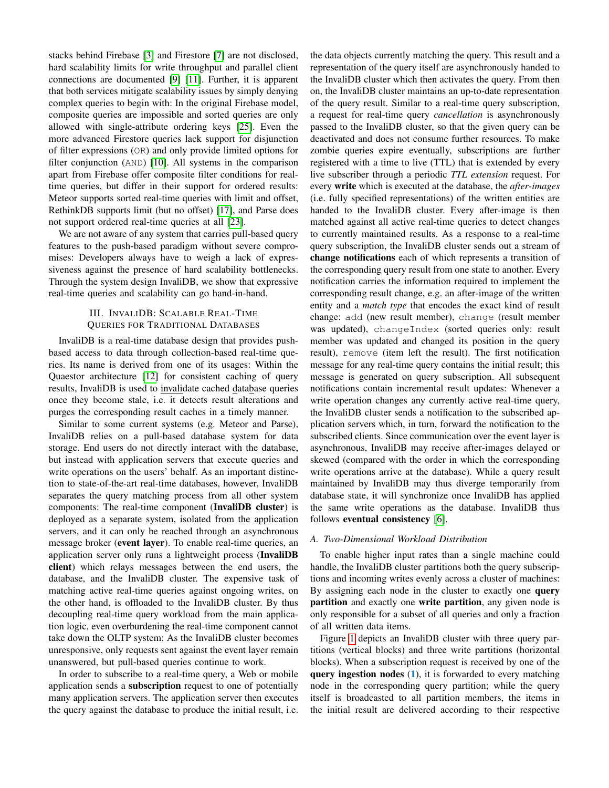stacks behind Firebase [\[3\]](#page-3-13) and Firestore [\[7\]](#page-3-14) are not disclosed, hard scalability limits for write throughput and parallel client connections are documented [\[9\]](#page-3-15) [\[11\]](#page-3-16). Further, it is apparent that both services mitigate scalability issues by simply denying complex queries to begin with: In the original Firebase model, composite queries are impossible and sorted queries are only allowed with single-attribute ordering keys [\[25\]](#page-3-17). Even the more advanced Firestore queries lack support for disjunction of filter expressions (OR) and only provide limited options for filter conjunction (AND) [\[10\]](#page-3-18). All systems in the comparison apart from Firebase offer composite filter conditions for realtime queries, but differ in their support for ordered results: Meteor supports sorted real-time queries with limit and offset, RethinkDB supports limit (but no offset) [\[17\]](#page-3-19), and Parse does not support ordered real-time queries at all [\[23\]](#page-3-20).

We are not aware of any system that carries pull-based query features to the push-based paradigm without severe compromises: Developers always have to weigh a lack of expressiveness against the presence of hard scalability bottlenecks. Through the system design InvaliDB, we show that expressive real-time queries and scalability can go hand-in-hand.

# III. INVALIDB: SCALABLE REAL-TIME QUERIES FOR TRADITIONAL DATABASES

<span id="page-1-0"></span>InvaliDB is a real-time database design that provides pushbased access to data through collection-based real-time queries. Its name is derived from one of its usages: Within the Quaestor architecture [\[12\]](#page-3-21) for consistent caching of query results, InvaliDB is used to invalidate cached database queries once they become stale, i.e. it detects result alterations and purges the corresponding result caches in a timely manner.

Similar to some current systems (e.g. Meteor and Parse), InvaliDB relies on a pull-based database system for data storage. End users do not directly interact with the database, but instead with application servers that execute queries and write operations on the users' behalf. As an important distinction to state-of-the-art real-time databases, however, InvaliDB separates the query matching process from all other system components: The real-time component (InvaliDB cluster) is deployed as a separate system, isolated from the application servers, and it can only be reached through an asynchronous message broker (event layer). To enable real-time queries, an application server only runs a lightweight process (InvaliDB client) which relays messages between the end users, the database, and the InvaliDB cluster. The expensive task of matching active real-time queries against ongoing writes, on the other hand, is offloaded to the InvaliDB cluster. By thus decoupling real-time query workload from the main application logic, even overburdening the real-time component cannot take down the OLTP system: As the InvaliDB cluster becomes unresponsive, only requests sent against the event layer remain unanswered, but pull-based queries continue to work.

In order to subscribe to a real-time query, a Web or mobile application sends a subscription request to one of potentially many application servers. The application server then executes the query against the database to produce the initial result, i.e.

the data objects currently matching the query. This result and a representation of the query itself are asynchronously handed to the InvaliDB cluster which then activates the query. From then on, the InvaliDB cluster maintains an up-to-date representation of the query result. Similar to a real-time query subscription, a request for real-time query *cancellation* is asynchronously passed to the InvaliDB cluster, so that the given query can be deactivated and does not consume further resources. To make zombie queries expire eventually, subscriptions are further registered with a time to live (TTL) that is extended by every live subscriber through a periodic *TTL extension* request. For every write which is executed at the database, the *after-images* (i.e. fully specified representations) of the written entities are handed to the InvaliDB cluster. Every after-image is then matched against all active real-time queries to detect changes to currently maintained results. As a response to a real-time query subscription, the InvaliDB cluster sends out a stream of change notifications each of which represents a transition of the corresponding query result from one state to another. Every notification carries the information required to implement the corresponding result change, e.g. an after-image of the written entity and a *match type* that encodes the exact kind of result change: add (new result member), change (result member was updated), changeIndex (sorted queries only: result member was updated and changed its position in the query result), remove (item left the result). The first notification message for any real-time query contains the initial result; this message is generated on query subscription. All subsequent notifications contain incremental result updates: Whenever a write operation changes any currently active real-time query, the InvaliDB cluster sends a notification to the subscribed application servers which, in turn, forward the notification to the subscribed clients. Since communication over the event layer is asynchronous, InvaliDB may receive after-images delayed or skewed (compared with the order in which the corresponding write operations arrive at the database). While a query result maintained by InvaliDB may thus diverge temporarily from database state, it will synchronize once InvaliDB has applied the same write operations as the database. InvaliDB thus follows eventual consistency [\[6\]](#page-3-22).

# *A. Two-Dimensional Workload Distribution*

To enable higher input rates than a single machine could handle, the InvaliDB cluster partitions both the query subscriptions and incoming writes evenly across a cluster of machines: By assigning each node in the cluster to exactly one query partition and exactly one write partition, any given node is only responsible for a subset of all queries and only a fraction of all written data items.

Figure [1](#page-2-0) depicts an InvaliDB cluster with three query partitions (vertical blocks) and three write partitions (horizontal blocks). When a subscription request is received by one of the query ingestion nodes  $(1)$ , it is forwarded to every matching node in the corresponding query partition; while the query itself is broadcasted to all partition members, the items in the initial result are delivered according to their respective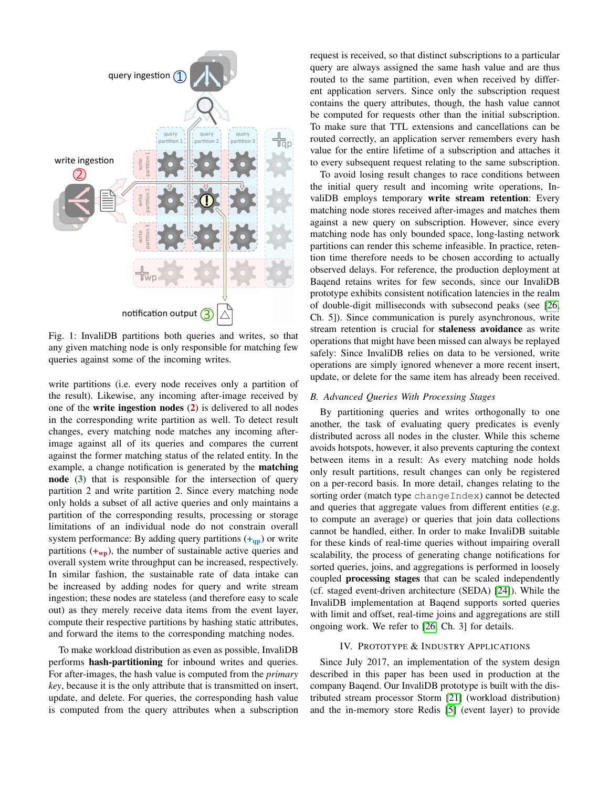<span id="page-2-0"></span>

Fig. 1: InvaliDB partitions both queries and writes, so that any given matching node is only responsible for matching few queries against some of the incoming writes.

write partitions (i.e. every node receives only a partition of the result). Likewise, any incoming after-image received by one of the write ingestion nodes  $(2)$  is delivered to all nodes in the corresponding write partition as well. To detect result changes, every matching node matches any incoming afterimage against all of its queries and compares the current against the former matching status of the related entity. In the example, a change notification is generated by the matching node (3) that is responsible for the intersection of query partition 2 and write partition 2. Since every matching node only holds a subset of all active queries and only maintains a partition of the corresponding results, processing or storage limitations of an individual node do not constrain overall system performance: By adding query partitions  $(+_{qp})$  or write partitions  $(+_{\rm wp})$ , the number of sustainable active queries and overall system write throughput can be increased, respectively. In similar fashion, the sustainable rate of data intake can be increased by adding nodes for query and write stream ingestion; these nodes are stateless (and therefore easy to scale out) as they merely receive data items from the event layer, compute their respective partitions by hashing static attributes, and forward the items to the corresponding matching nodes.

To make workload distribution as even as possible, InvaliDB performs hash-partitioning for inbound writes and queries. For after-images, the hash value is computed from the *primary key*, because it is the only attribute that is transmitted on insert, update, and delete. For queries, the corresponding hash value is computed from the query attributes when a subscription request is received, so that distinct subscriptions to a particular query are always assigned the same hash value and are thus routed to the same partition, even when received by different application servers. Since only the subscription request contains the query attributes, though, the hash value cannot be computed for requests other than the initial subscription. To make sure that TTL extensions and cancellations can be routed correctly, an application server remembers every hash value for the entire lifetime of a subscription and attaches it to every subsequent request relating to the same subscription.

To avoid losing result changes to race conditions between the initial query result and incoming write operations, InvaliDB employs temporary write stream retention: Every matching node stores received after-images and matches them against a new query on subscription. However, since every matching node has only bounded space, long-lasting network partitions can render this scheme infeasible. In practice, retention time therefore needs to be chosen according to actually observed delays. For reference, the production deployment at Baqend retains writes for few seconds, since our InvaliDB prototype exhibits consistent notification latencies in the realm of double-digit milliseconds with subsecond peaks (see [\[26,](#page-3-23) Ch. 5]). Since communication is purely asynchronous, write stream retention is crucial for staleness avoidance as write operations that might have been missed can always be replayed safely: Since InvaliDB relies on data to be versioned, write operations are simply ignored whenever a more recent insert, update, or delete for the same item has already been received.

#### *B. Advanced Queries With Processing Stages*

By partitioning queries and writes orthogonally to one another, the task of evaluating query predicates is evenly distributed across all nodes in the cluster. While this scheme avoids hotspots, however, it also prevents capturing the context between items in a result: As every matching node holds only result partitions, result changes can only be registered on a per-record basis. In more detail, changes relating to the sorting order (match type changeIndex) cannot be detected and queries that aggregate values from different entities (e.g. to compute an average) or queries that join data collections cannot be handled, either. In order to make InvaliDB suitable for these kinds of real-time queries without impairing overall scalability, the process of generating change notifications for sorted queries, joins, and aggregations is performed in loosely coupled processing stages that can be scaled independently (cf. staged event-driven architecture (SEDA) [\[24\]](#page-3-24)). While the InvaliDB implementation at Baqend supports sorted queries with limit and offset, real-time joins and aggregations are still ongoing work. We refer to [\[26,](#page-3-23) Ch. 3] for details.

### IV. PROTOTYPE & INDUSTRY APPLICATIONS

<span id="page-2-1"></span>Since July 2017, an implementation of the system design described in this paper has been used in production at the company Baqend. Our InvaliDB prototype is built with the distributed stream processor Storm [\[21\]](#page-3-25) (workload distribution) and the in-memory store Redis [\[5\]](#page-3-26) (event layer) to provide